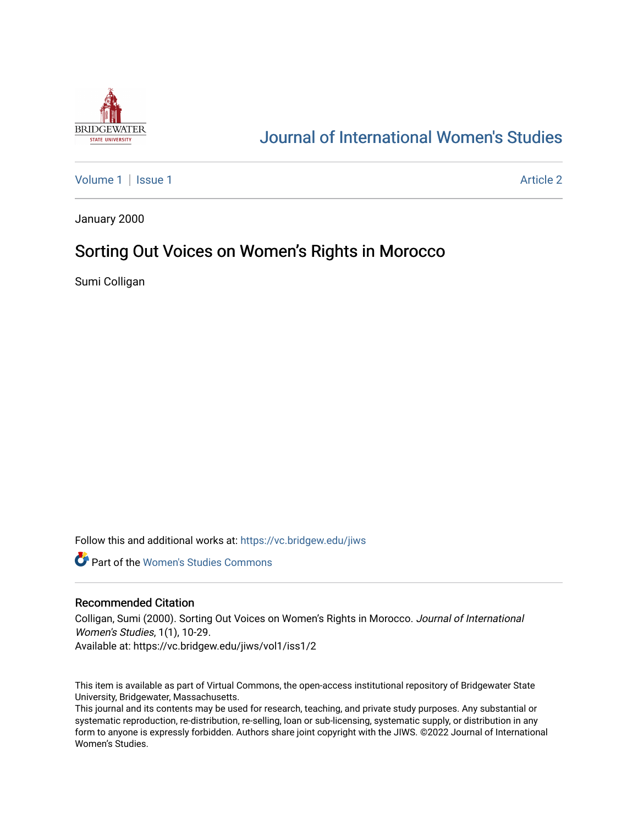

# [Journal of International Women's Studies](https://vc.bridgew.edu/jiws)

[Volume 1](https://vc.bridgew.edu/jiws/vol1) | [Issue 1](https://vc.bridgew.edu/jiws/vol1/iss1) Article 2

January 2000

# Sorting Out Voices on Women's Rights in Morocco

Sumi Colligan

Follow this and additional works at: [https://vc.bridgew.edu/jiws](https://vc.bridgew.edu/jiws?utm_source=vc.bridgew.edu%2Fjiws%2Fvol1%2Fiss1%2F2&utm_medium=PDF&utm_campaign=PDFCoverPages)

**C** Part of the Women's Studies Commons

#### Recommended Citation

Colligan, Sumi (2000). Sorting Out Voices on Women's Rights in Morocco. Journal of International Women's Studies, 1(1), 10-29.

Available at: https://vc.bridgew.edu/jiws/vol1/iss1/2

This item is available as part of Virtual Commons, the open-access institutional repository of Bridgewater State University, Bridgewater, Massachusetts.

This journal and its contents may be used for research, teaching, and private study purposes. Any substantial or systematic reproduction, re-distribution, re-selling, loan or sub-licensing, systematic supply, or distribution in any form to anyone is expressly forbidden. Authors share joint copyright with the JIWS. ©2022 Journal of International Women's Studies.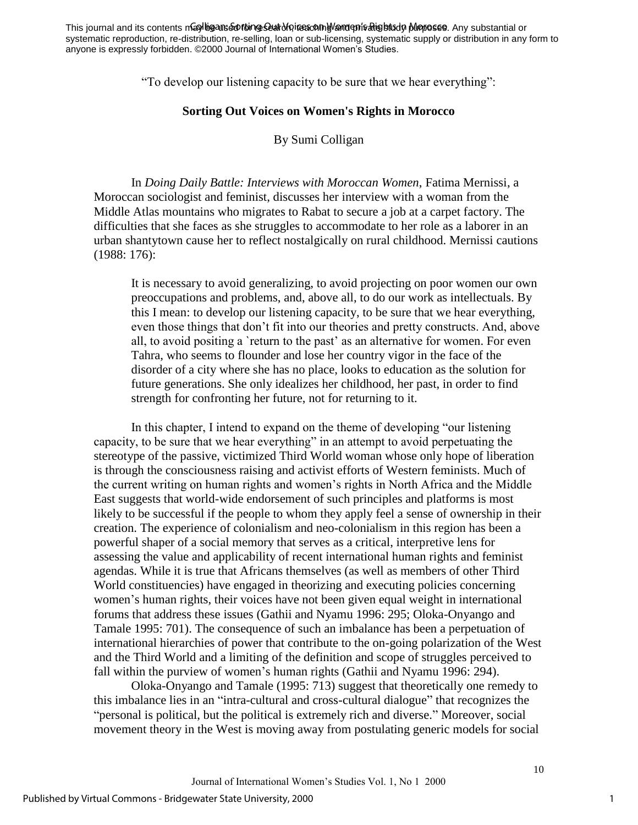This journal and its contents may biganse of to mos stat on it as conny and privatights dy purposes. Any substantial or systematic reproduction, re-distribution, re-selling, loan or sub-licensing, systematic supply or distribution in any form to anyone is expressly forbidden. ©2000 Journal of International Women's Studies.

"To develop our listening capacity to be sure that we hear everything":

### **Sorting Out Voices on Women's Rights in Morocco**

By Sumi Colligan

In *Doing Daily Battle: Interviews with Moroccan Women*, Fatima Mernissi, a Moroccan sociologist and feminist, discusses her interview with a woman from the Middle Atlas mountains who migrates to Rabat to secure a job at a carpet factory. The difficulties that she faces as she struggles to accommodate to her role as a laborer in an urban shantytown cause her to reflect nostalgically on rural childhood. Mernissi cautions (1988: 176):

It is necessary to avoid generalizing, to avoid projecting on poor women our own preoccupations and problems, and, above all, to do our work as intellectuals. By this I mean: to develop our listening capacity, to be sure that we hear everything, even those things that don't fit into our theories and pretty constructs. And, above all, to avoid positing a `return to the past' as an alternative for women. For even Tahra, who seems to flounder and lose her country vigor in the face of the disorder of a city where she has no place, looks to education as the solution for future generations. She only idealizes her childhood, her past, in order to find strength for confronting her future, not for returning to it.

In this chapter, I intend to expand on the theme of developing "our listening capacity, to be sure that we hear everything" in an attempt to avoid perpetuating the stereotype of the passive, victimized Third World woman whose only hope of liberation is through the consciousness raising and activist efforts of Western feminists. Much of the current writing on human rights and women's rights in North Africa and the Middle East suggests that world-wide endorsement of such principles and platforms is most likely to be successful if the people to whom they apply feel a sense of ownership in their creation. The experience of colonialism and neo-colonialism in this region has been a powerful shaper of a social memory that serves as a critical, interpretive lens for assessing the value and applicability of recent international human rights and feminist agendas. While it is true that Africans themselves (as well as members of other Third World constituencies) have engaged in theorizing and executing policies concerning women's human rights, their voices have not been given equal weight in international forums that address these issues (Gathii and Nyamu 1996: 295; Oloka-Onyango and Tamale 1995: 701). The consequence of such an imbalance has been a perpetuation of international hierarchies of power that contribute to the on-going polarization of the West and the Third World and a limiting of the definition and scope of struggles perceived to fall within the purview of women's human rights (Gathii and Nyamu 1996: 294).

Oloka-Onyango and Tamale (1995: 713) suggest that theoretically one remedy to this imbalance lies in an "intra-cultural and cross-cultural dialogue" that recognizes the "personal is political, but the political is extremely rich and diverse." Moreover, social movement theory in the West is moving away from postulating generic models for social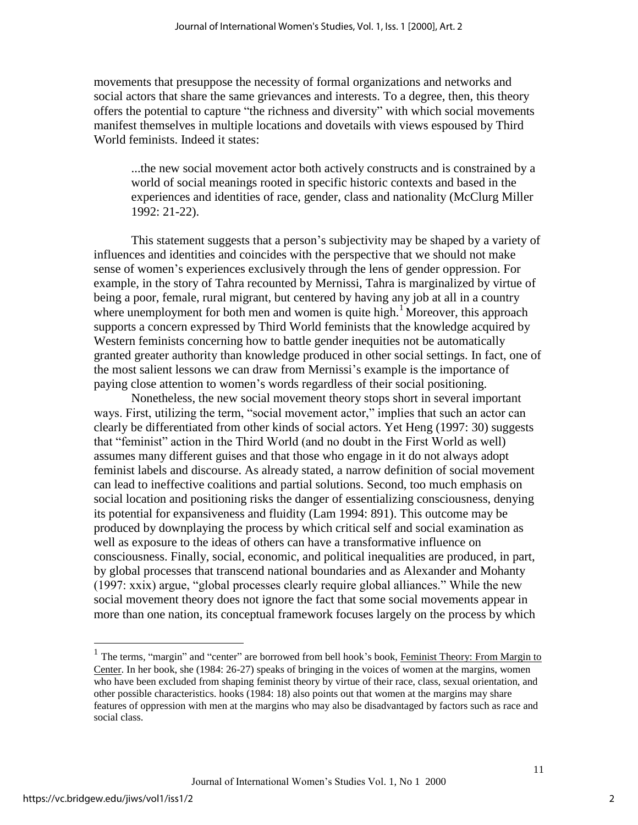movements that presuppose the necessity of formal organizations and networks and social actors that share the same grievances and interests. To a degree, then, this theory offers the potential to capture "the richness and diversity" with which social movements manifest themselves in multiple locations and dovetails with views espoused by Third World feminists. Indeed it states:

...the new social movement actor both actively constructs and is constrained by a world of social meanings rooted in specific historic contexts and based in the experiences and identities of race, gender, class and nationality (McClurg Miller 1992: 21-22).

This statement suggests that a person's subjectivity may be shaped by a variety of influences and identities and coincides with the perspective that we should not make sense of women's experiences exclusively through the lens of gender oppression. For example, in the story of Tahra recounted by Mernissi, Tahra is marginalized by virtue of being a poor, female, rural migrant, but centered by having any job at all in a country where unemployment for both men and women is quite high.<sup>1</sup> Moreover, this approach supports a concern expressed by Third World feminists that the knowledge acquired by Western feminists concerning how to battle gender inequities not be automatically granted greater authority than knowledge produced in other social settings. In fact, one of the most salient lessons we can draw from Mernissi's example is the importance of paying close attention to women's words regardless of their social positioning.

Nonetheless, the new social movement theory stops short in several important ways. First, utilizing the term, "social movement actor," implies that such an actor can clearly be differentiated from other kinds of social actors. Yet Heng (1997: 30) suggests that "feminist" action in the Third World (and no doubt in the First World as well) assumes many different guises and that those who engage in it do not always adopt feminist labels and discourse. As already stated, a narrow definition of social movement can lead to ineffective coalitions and partial solutions. Second, too much emphasis on social location and positioning risks the danger of essentializing consciousness, denying its potential for expansiveness and fluidity (Lam 1994: 891). This outcome may be produced by downplaying the process by which critical self and social examination as well as exposure to the ideas of others can have a transformative influence on consciousness. Finally, social, economic, and political inequalities are produced, in part, by global processes that transcend national boundaries and as Alexander and Mohanty (1997: xxix) argue, "global processes clearly require global alliances." While the new social movement theory does not ignore the fact that some social movements appear in more than one nation, its conceptual framework focuses largely on the process by which

<sup>&</sup>lt;sup>1</sup> The terms, "margin" and "center" are borrowed from bell hook's book, Feminist Theory: From Margin to Center. In her book, she (1984: 26-27) speaks of bringing in the voices of women at the margins, women who have been excluded from shaping feminist theory by virtue of their race, class, sexual orientation, and other possible characteristics. hooks (1984: 18) also points out that women at the margins may share features of oppression with men at the margins who may also be disadvantaged by factors such as race and social class.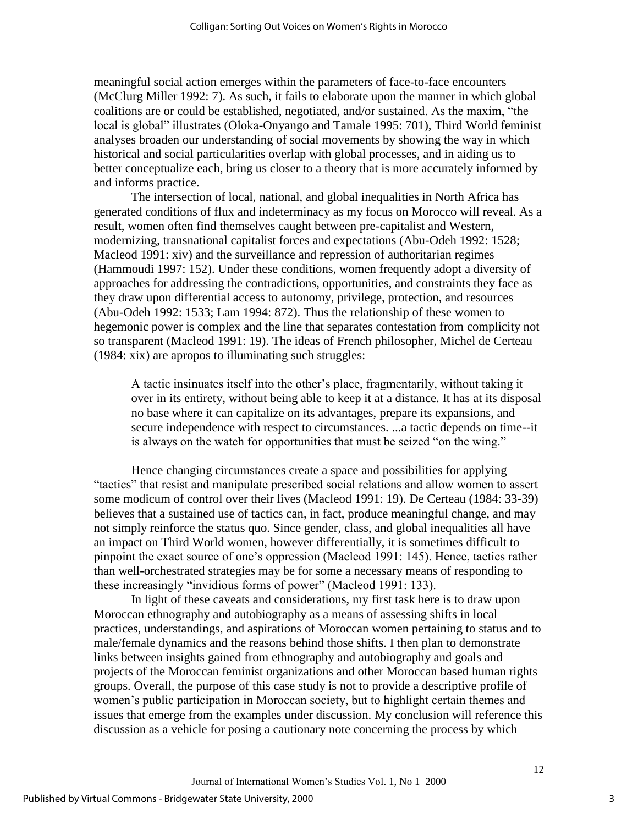meaningful social action emerges within the parameters of face-to-face encounters (McClurg Miller 1992: 7). As such, it fails to elaborate upon the manner in which global coalitions are or could be established, negotiated, and/or sustained. As the maxim, "the local is global" illustrates (Oloka-Onyango and Tamale 1995: 701), Third World feminist analyses broaden our understanding of social movements by showing the way in which historical and social particularities overlap with global processes, and in aiding us to better conceptualize each, bring us closer to a theory that is more accurately informed by and informs practice.

The intersection of local, national, and global inequalities in North Africa has generated conditions of flux and indeterminacy as my focus on Morocco will reveal. As a result, women often find themselves caught between pre-capitalist and Western, modernizing, transnational capitalist forces and expectations (Abu-Odeh 1992: 1528; Macleod 1991: xiv) and the surveillance and repression of authoritarian regimes (Hammoudi 1997: 152). Under these conditions, women frequently adopt a diversity of approaches for addressing the contradictions, opportunities, and constraints they face as they draw upon differential access to autonomy, privilege, protection, and resources (Abu-Odeh 1992: 1533; Lam 1994: 872). Thus the relationship of these women to hegemonic power is complex and the line that separates contestation from complicity not so transparent (Macleod 1991: 19). The ideas of French philosopher, Michel de Certeau (1984: xix) are apropos to illuminating such struggles:

A tactic insinuates itself into the other's place, fragmentarily, without taking it over in its entirety, without being able to keep it at a distance. It has at its disposal no base where it can capitalize on its advantages, prepare its expansions, and secure independence with respect to circumstances. ...a tactic depends on time--it is always on the watch for opportunities that must be seized "on the wing."

Hence changing circumstances create a space and possibilities for applying "tactics" that resist and manipulate prescribed social relations and allow women to assert some modicum of control over their lives (Macleod 1991: 19). De Certeau (1984: 33-39) believes that a sustained use of tactics can, in fact, produce meaningful change, and may not simply reinforce the status quo. Since gender, class, and global inequalities all have an impact on Third World women, however differentially, it is sometimes difficult to pinpoint the exact source of one's oppression (Macleod 1991: 145). Hence, tactics rather than well-orchestrated strategies may be for some a necessary means of responding to these increasingly "invidious forms of power" (Macleod 1991: 133).

In light of these caveats and considerations, my first task here is to draw upon Moroccan ethnography and autobiography as a means of assessing shifts in local practices, understandings, and aspirations of Moroccan women pertaining to status and to male/female dynamics and the reasons behind those shifts. I then plan to demonstrate links between insights gained from ethnography and autobiography and goals and projects of the Moroccan feminist organizations and other Moroccan based human rights groups. Overall, the purpose of this case study is not to provide a descriptive profile of women's public participation in Moroccan society, but to highlight certain themes and issues that emerge from the examples under discussion. My conclusion will reference this discussion as a vehicle for posing a cautionary note concerning the process by which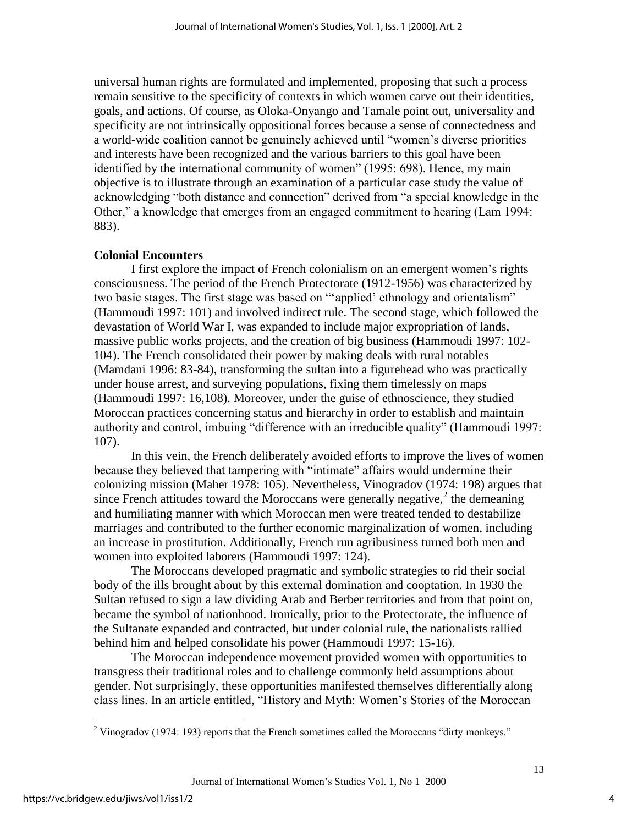universal human rights are formulated and implemented, proposing that such a process remain sensitive to the specificity of contexts in which women carve out their identities, goals, and actions. Of course, as Oloka-Onyango and Tamale point out, universality and specificity are not intrinsically oppositional forces because a sense of connectedness and a world-wide coalition cannot be genuinely achieved until "women's diverse priorities and interests have been recognized and the various barriers to this goal have been identified by the international community of women" (1995: 698). Hence, my main objective is to illustrate through an examination of a particular case study the value of acknowledging "both distance and connection" derived from "a special knowledge in the Other," a knowledge that emerges from an engaged commitment to hearing (Lam 1994: 883).

# **Colonial Encounters**

I first explore the impact of French colonialism on an emergent women's rights consciousness. The period of the French Protectorate (1912-1956) was characterized by two basic stages. The first stage was based on "'applied' ethnology and orientalism" (Hammoudi 1997: 101) and involved indirect rule. The second stage, which followed the devastation of World War I, was expanded to include major expropriation of lands, massive public works projects, and the creation of big business (Hammoudi 1997: 102- 104). The French consolidated their power by making deals with rural notables (Mamdani 1996: 83-84), transforming the sultan into a figurehead who was practically under house arrest, and surveying populations, fixing them timelessly on maps (Hammoudi 1997: 16,108). Moreover, under the guise of ethnoscience, they studied Moroccan practices concerning status and hierarchy in order to establish and maintain authority and control, imbuing "difference with an irreducible quality" (Hammoudi 1997: 107).

In this vein, the French deliberately avoided efforts to improve the lives of women because they believed that tampering with "intimate" affairs would undermine their colonizing mission (Maher 1978: 105). Nevertheless, Vinogradov (1974: 198) argues that since French attitudes toward the Moroccans were generally negative, $2$  the demeaning and humiliating manner with which Moroccan men were treated tended to destabilize marriages and contributed to the further economic marginalization of women, including an increase in prostitution. Additionally, French run agribusiness turned both men and women into exploited laborers (Hammoudi 1997: 124).

The Moroccans developed pragmatic and symbolic strategies to rid their social body of the ills brought about by this external domination and cooptation. In 1930 the Sultan refused to sign a law dividing Arab and Berber territories and from that point on, became the symbol of nationhood. Ironically, prior to the Protectorate, the influence of the Sultanate expanded and contracted, but under colonial rule, the nationalists rallied behind him and helped consolidate his power (Hammoudi 1997: 15-16).

The Moroccan independence movement provided women with opportunities to transgress their traditional roles and to challenge commonly held assumptions about gender. Not surprisingly, these opportunities manifested themselves differentially along class lines. In an article entitled, "History and Myth: Women's Stories of the Moroccan

 $2$  Vinogradov (1974: 193) reports that the French sometimes called the Moroccans "dirty monkeys."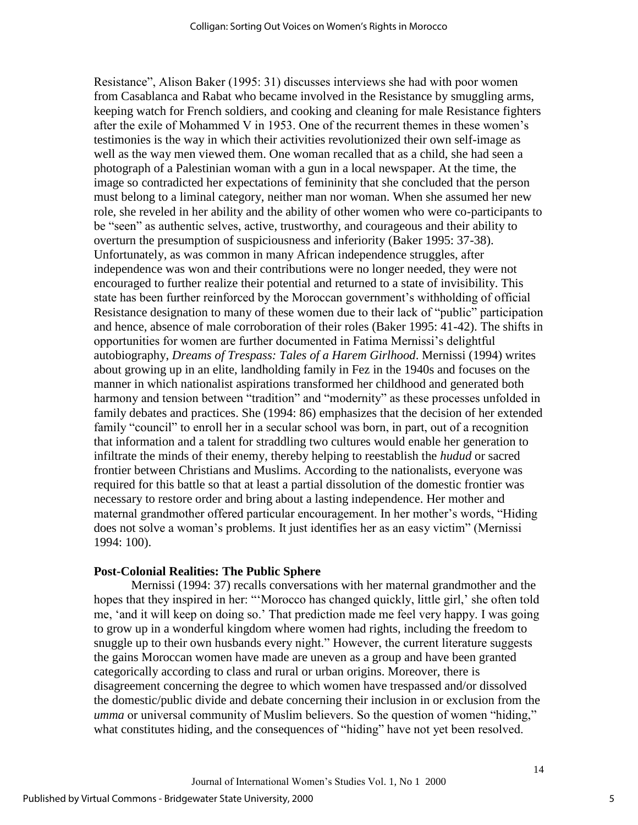Resistance", Alison Baker (1995: 31) discusses interviews she had with poor women from Casablanca and Rabat who became involved in the Resistance by smuggling arms, keeping watch for French soldiers, and cooking and cleaning for male Resistance fighters after the exile of Mohammed V in 1953. One of the recurrent themes in these women's testimonies is the way in which their activities revolutionized their own self-image as well as the way men viewed them. One woman recalled that as a child, she had seen a photograph of a Palestinian woman with a gun in a local newspaper. At the time, the image so contradicted her expectations of femininity that she concluded that the person must belong to a liminal category, neither man nor woman. When she assumed her new role, she reveled in her ability and the ability of other women who were co-participants to be "seen" as authentic selves, active, trustworthy, and courageous and their ability to overturn the presumption of suspiciousness and inferiority (Baker 1995: 37-38). Unfortunately, as was common in many African independence struggles, after independence was won and their contributions were no longer needed, they were not encouraged to further realize their potential and returned to a state of invisibility. This state has been further reinforced by the Moroccan government's withholding of official Resistance designation to many of these women due to their lack of "public" participation and hence, absence of male corroboration of their roles (Baker 1995: 41-42). The shifts in opportunities for women are further documented in Fatima Mernissi's delightful autobiography, *Dreams of Trespass: Tales of a Harem Girlhood*. Mernissi (1994) writes about growing up in an elite, landholding family in Fez in the 1940s and focuses on the manner in which nationalist aspirations transformed her childhood and generated both harmony and tension between "tradition" and "modernity" as these processes unfolded in family debates and practices. She (1994: 86) emphasizes that the decision of her extended family "council" to enroll her in a secular school was born, in part, out of a recognition that information and a talent for straddling two cultures would enable her generation to infiltrate the minds of their enemy, thereby helping to reestablish the *hudud* or sacred frontier between Christians and Muslims. According to the nationalists, everyone was required for this battle so that at least a partial dissolution of the domestic frontier was necessary to restore order and bring about a lasting independence. Her mother and maternal grandmother offered particular encouragement. In her mother's words, "Hiding does not solve a woman's problems. It just identifies her as an easy victim" (Mernissi 1994: 100).

#### **Post-Colonial Realities: The Public Sphere**

Mernissi (1994: 37) recalls conversations with her maternal grandmother and the hopes that they inspired in her: "'Morocco has changed quickly, little girl,' she often told me, 'and it will keep on doing so.' That prediction made me feel very happy. I was going to grow up in a wonderful kingdom where women had rights, including the freedom to snuggle up to their own husbands every night." However, the current literature suggests the gains Moroccan women have made are uneven as a group and have been granted categorically according to class and rural or urban origins. Moreover, there is disagreement concerning the degree to which women have trespassed and/or dissolved the domestic/public divide and debate concerning their inclusion in or exclusion from the *umma* or universal community of Muslim believers. So the question of women "hiding," what constitutes hiding, and the consequences of "hiding" have not yet been resolved.

5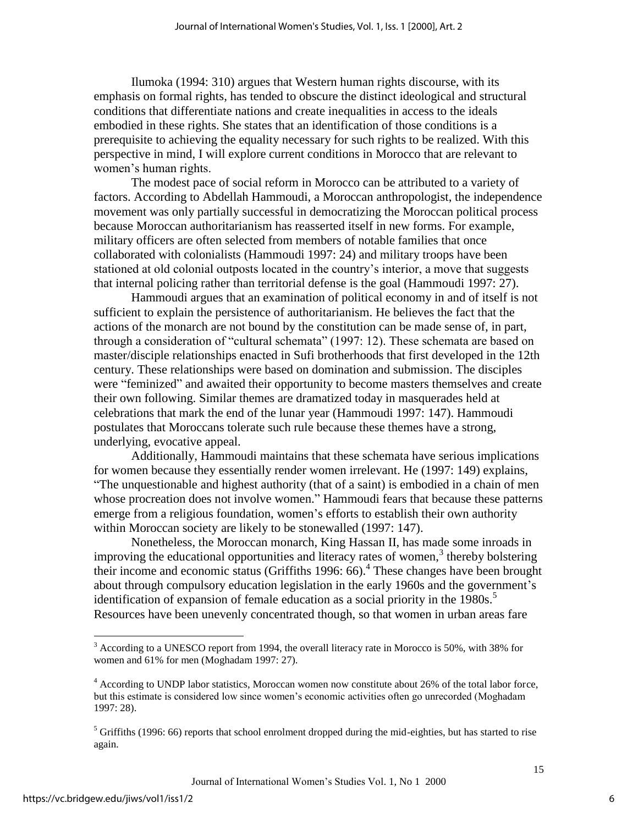Ilumoka (1994: 310) argues that Western human rights discourse, with its emphasis on formal rights, has tended to obscure the distinct ideological and structural conditions that differentiate nations and create inequalities in access to the ideals embodied in these rights. She states that an identification of those conditions is a prerequisite to achieving the equality necessary for such rights to be realized. With this perspective in mind, I will explore current conditions in Morocco that are relevant to women's human rights.

The modest pace of social reform in Morocco can be attributed to a variety of factors. According to Abdellah Hammoudi, a Moroccan anthropologist, the independence movement was only partially successful in democratizing the Moroccan political process because Moroccan authoritarianism has reasserted itself in new forms. For example, military officers are often selected from members of notable families that once collaborated with colonialists (Hammoudi 1997: 24) and military troops have been stationed at old colonial outposts located in the country's interior, a move that suggests that internal policing rather than territorial defense is the goal (Hammoudi 1997: 27).

Hammoudi argues that an examination of political economy in and of itself is not sufficient to explain the persistence of authoritarianism. He believes the fact that the actions of the monarch are not bound by the constitution can be made sense of, in part, through a consideration of "cultural schemata" (1997: 12). These schemata are based on master/disciple relationships enacted in Sufi brotherhoods that first developed in the 12th century. These relationships were based on domination and submission. The disciples were "feminized" and awaited their opportunity to become masters themselves and create their own following. Similar themes are dramatized today in masquerades held at celebrations that mark the end of the lunar year (Hammoudi 1997: 147). Hammoudi postulates that Moroccans tolerate such rule because these themes have a strong, underlying, evocative appeal.

Additionally, Hammoudi maintains that these schemata have serious implications for women because they essentially render women irrelevant. He (1997: 149) explains, "The unquestionable and highest authority (that of a saint) is embodied in a chain of men whose procreation does not involve women." Hammoudi fears that because these patterns emerge from a religious foundation, women's efforts to establish their own authority within Moroccan society are likely to be stonewalled (1997: 147).

Nonetheless, the Moroccan monarch, King Hassan II, has made some inroads in improving the educational opportunities and literacy rates of women, $3$  thereby bolstering their income and economic status (Griffiths 1996: 66).<sup>4</sup> These changes have been brought about through compulsory education legislation in the early 1960s and the government's identification of expansion of female education as a social priority in the 1980s.<sup>5</sup> Resources have been unevenly concentrated though, so that women in urban areas fare

 $\overline{a}$ 

6

 $3$  According to a UNESCO report from 1994, the overall literacy rate in Morocco is 50%, with 38% for women and 61% for men (Moghadam 1997: 27).

<sup>&</sup>lt;sup>4</sup> According to UNDP labor statistics, Moroccan women now constitute about 26% of the total labor force, but this estimate is considered low since women's economic activities often go unrecorded (Moghadam 1997: 28).

 $<sup>5</sup>$  Griffiths (1996: 66) reports that school enrolment dropped during the mid-eighties, but has started to rise</sup> again.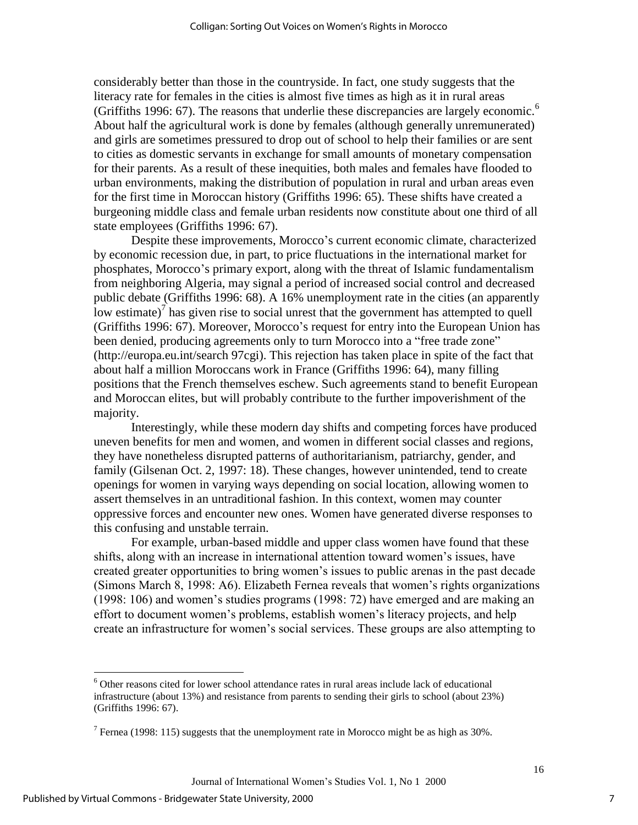considerably better than those in the countryside. In fact, one study suggests that the literacy rate for females in the cities is almost five times as high as it in rural areas (Griffiths 1996: 67). The reasons that underlie these discrepancies are largely economic.<sup>6</sup> About half the agricultural work is done by females (although generally unremunerated) and girls are sometimes pressured to drop out of school to help their families or are sent to cities as domestic servants in exchange for small amounts of monetary compensation for their parents. As a result of these inequities, both males and females have flooded to urban environments, making the distribution of population in rural and urban areas even for the first time in Moroccan history (Griffiths 1996: 65). These shifts have created a burgeoning middle class and female urban residents now constitute about one third of all state employees (Griffiths 1996: 67).

Despite these improvements, Morocco's current economic climate, characterized by economic recession due, in part, to price fluctuations in the international market for phosphates, Morocco's primary export, along with the threat of Islamic fundamentalism from neighboring Algeria, may signal a period of increased social control and decreased public debate (Griffiths 1996: 68). A 16% unemployment rate in the cities (an apparently low estimate)<sup>7</sup> has given rise to social unrest that the government has attempted to quell (Griffiths 1996: 67). Moreover, Morocco's request for entry into the European Union has been denied, producing agreements only to turn Morocco into a "free trade zone" (http://europa.eu.int/search 97cgi). This rejection has taken place in spite of the fact that about half a million Moroccans work in France (Griffiths 1996: 64), many filling positions that the French themselves eschew. Such agreements stand to benefit European and Moroccan elites, but will probably contribute to the further impoverishment of the majority.

Interestingly, while these modern day shifts and competing forces have produced uneven benefits for men and women, and women in different social classes and regions, they have nonetheless disrupted patterns of authoritarianism, patriarchy, gender, and family (Gilsenan Oct. 2, 1997: 18). These changes, however unintended, tend to create openings for women in varying ways depending on social location, allowing women to assert themselves in an untraditional fashion. In this context, women may counter oppressive forces and encounter new ones. Women have generated diverse responses to this confusing and unstable terrain.

For example, urban-based middle and upper class women have found that these shifts, along with an increase in international attention toward women's issues, have created greater opportunities to bring women's issues to public arenas in the past decade (Simons March 8, 1998: A6). Elizabeth Fernea reveals that women's rights organizations (1998: 106) and women's studies programs (1998: 72) have emerged and are making an effort to document women's problems, establish women's literacy projects, and help create an infrastructure for women's social services. These groups are also attempting to

<sup>&</sup>lt;sup>6</sup> Other reasons cited for lower school attendance rates in rural areas include lack of educational infrastructure (about 13%) and resistance from parents to sending their girls to school (about 23%) (Griffiths 1996: 67).

<sup>&</sup>lt;sup>7</sup> Fernea (1998: 115) suggests that the unemployment rate in Morocco might be as high as 30%.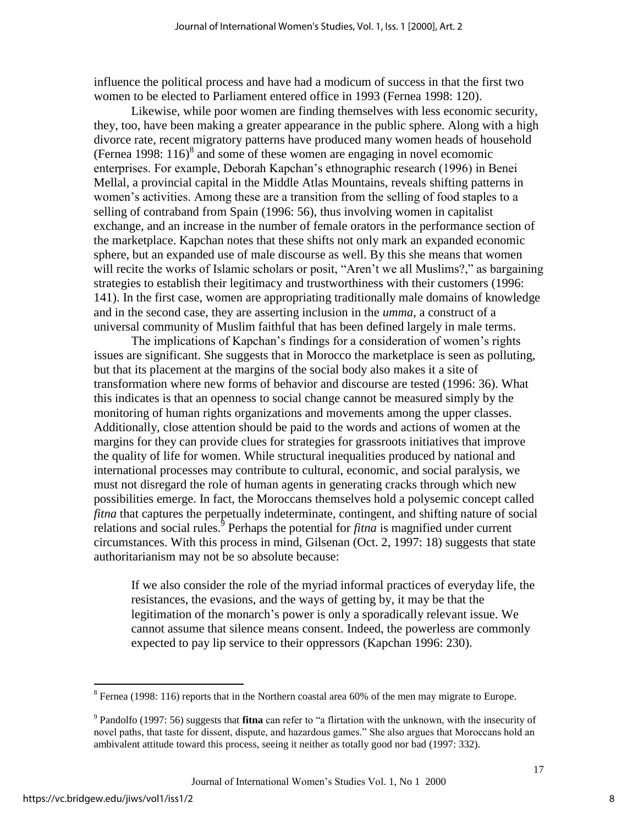influence the political process and have had a modicum of success in that the first two women to be elected to Parliament entered office in 1993 (Fernea 1998: 120).

Likewise, while poor women are finding themselves with less economic security, they, too, have been making a greater appearance in the public sphere. Along with a high divorce rate, recent migratory patterns have produced many women heads of household (Fernea 1998:  $116$ )<sup>8</sup> and some of these women are engaging in novel ecomomic enterprises. For example, Deborah Kapchan's ethnographic research (1996) in Benei Mellal, a provincial capital in the Middle Atlas Mountains, reveals shifting patterns in women's activities. Among these are a transition from the selling of food staples to a selling of contraband from Spain (1996: 56), thus involving women in capitalist exchange, and an increase in the number of female orators in the performance section of the marketplace. Kapchan notes that these shifts not only mark an expanded economic sphere, but an expanded use of male discourse as well. By this she means that women will recite the works of Islamic scholars or posit, "Aren't we all Muslims?," as bargaining strategies to establish their legitimacy and trustworthiness with their customers (1996: 141). In the first case, women are appropriating traditionally male domains of knowledge and in the second case, they are asserting inclusion in the *umma*, a construct of a universal community of Muslim faithful that has been defined largely in male terms.

The implications of Kapchan's findings for a consideration of women's rights issues are significant. She suggests that in Morocco the marketplace is seen as polluting, but that its placement at the margins of the social body also makes it a site of transformation where new forms of behavior and discourse are tested (1996: 36). What this indicates is that an openness to social change cannot be measured simply by the monitoring of human rights organizations and movements among the upper classes. Additionally, close attention should be paid to the words and actions of women at the margins for they can provide clues for strategies for grassroots initiatives that improve the quality of life for women. While structural inequalities produced by national and international processes may contribute to cultural, economic, and social paralysis, we must not disregard the role of human agents in generating cracks through which new possibilities emerge. In fact, the Moroccans themselves hold a polysemic concept called *fitna* that captures the perpetually indeterminate, contingent, and shifting nature of social relations and social rules.<sup>5</sup> Perhaps the potential for *fitna* is magnified under current circumstances. With this process in mind, Gilsenan (Oct. 2, 1997: 18) suggests that state authoritarianism may not be so absolute because:

If we also consider the role of the myriad informal practices of everyday life, the resistances, the evasions, and the ways of getting by, it may be that the legitimation of the monarch's power is only a sporadically relevant issue. We cannot assume that silence means consent. Indeed, the powerless are commonly expected to pay lip service to their oppressors (Kapchan 1996: 230).

<sup>&</sup>lt;sup>8</sup> Fernea (1998: 116) reports that in the Northern coastal area 60% of the men may migrate to Europe.

<sup>9</sup> Pandolfo (1997: 56) suggests that **fitna** can refer to "a flirtation with the unknown, with the insecurity of novel paths, that taste for dissent, dispute, and hazardous games." She also argues that Moroccans hold an ambivalent attitude toward this process, seeing it neither as totally good nor bad (1997: 332).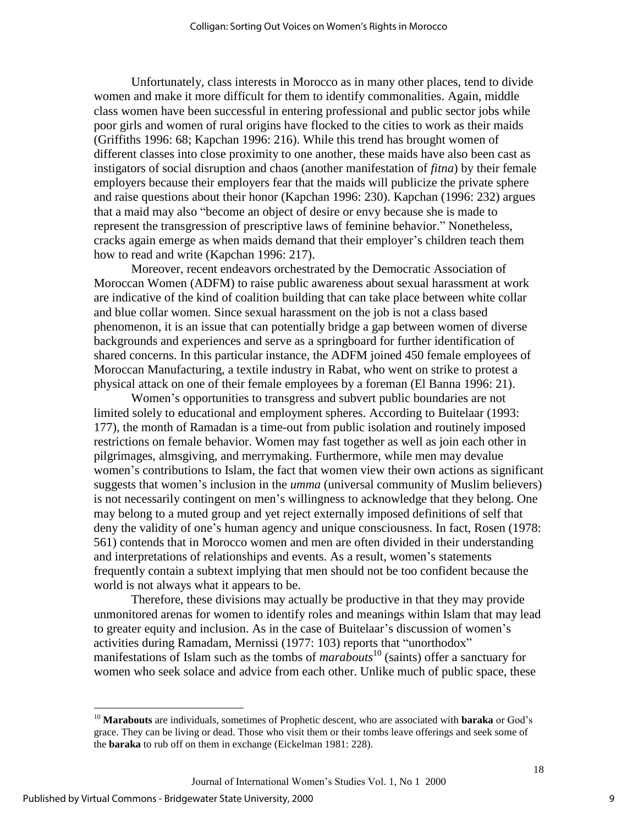Unfortunately, class interests in Morocco as in many other places, tend to divide women and make it more difficult for them to identify commonalities. Again, middle class women have been successful in entering professional and public sector jobs while poor girls and women of rural origins have flocked to the cities to work as their maids (Griffiths 1996: 68; Kapchan 1996: 216). While this trend has brought women of different classes into close proximity to one another, these maids have also been cast as instigators of social disruption and chaos (another manifestation of *fitna*) by their female employers because their employers fear that the maids will publicize the private sphere and raise questions about their honor (Kapchan 1996: 230). Kapchan (1996: 232) argues that a maid may also "become an object of desire or envy because she is made to represent the transgression of prescriptive laws of feminine behavior." Nonetheless, cracks again emerge as when maids demand that their employer's children teach them how to read and write (Kapchan 1996: 217).

Moreover, recent endeavors orchestrated by the Democratic Association of Moroccan Women (ADFM) to raise public awareness about sexual harassment at work are indicative of the kind of coalition building that can take place between white collar and blue collar women. Since sexual harassment on the job is not a class based phenomenon, it is an issue that can potentially bridge a gap between women of diverse backgrounds and experiences and serve as a springboard for further identification of shared concerns. In this particular instance, the ADFM joined 450 female employees of Moroccan Manufacturing, a textile industry in Rabat, who went on strike to protest a physical attack on one of their female employees by a foreman (El Banna 1996: 21).

Women's opportunities to transgress and subvert public boundaries are not limited solely to educational and employment spheres. According to Buitelaar (1993: 177), the month of Ramadan is a time-out from public isolation and routinely imposed restrictions on female behavior. Women may fast together as well as join each other in pilgrimages, almsgiving, and merrymaking. Furthermore, while men may devalue women's contributions to Islam, the fact that women view their own actions as significant suggests that women's inclusion in the *umma* (universal community of Muslim believers) is not necessarily contingent on men's willingness to acknowledge that they belong. One may belong to a muted group and yet reject externally imposed definitions of self that deny the validity of one's human agency and unique consciousness. In fact, Rosen (1978: 561) contends that in Morocco women and men are often divided in their understanding and interpretations of relationships and events. As a result, women's statements frequently contain a subtext implying that men should not be too confident because the world is not always what it appears to be.

Therefore, these divisions may actually be productive in that they may provide unmonitored arenas for women to identify roles and meanings within Islam that may lead to greater equity and inclusion. As in the case of Buitelaar's discussion of women's activities during Ramadam, Mernissi (1977: 103) reports that "unorthodox" manifestations of Islam such as the tombs of *marabouts*<sup>10</sup> (saints) offer a sanctuary for women who seek solace and advice from each other. Unlike much of public space, these

<sup>&</sup>lt;sup>10</sup> Marabouts are individuals, sometimes of Prophetic descent, who are associated with baraka or God's grace. They can be living or dead. Those who visit them or their tombs leave offerings and seek some of the **baraka** to rub off on them in exchange (Eickelman 1981: 228).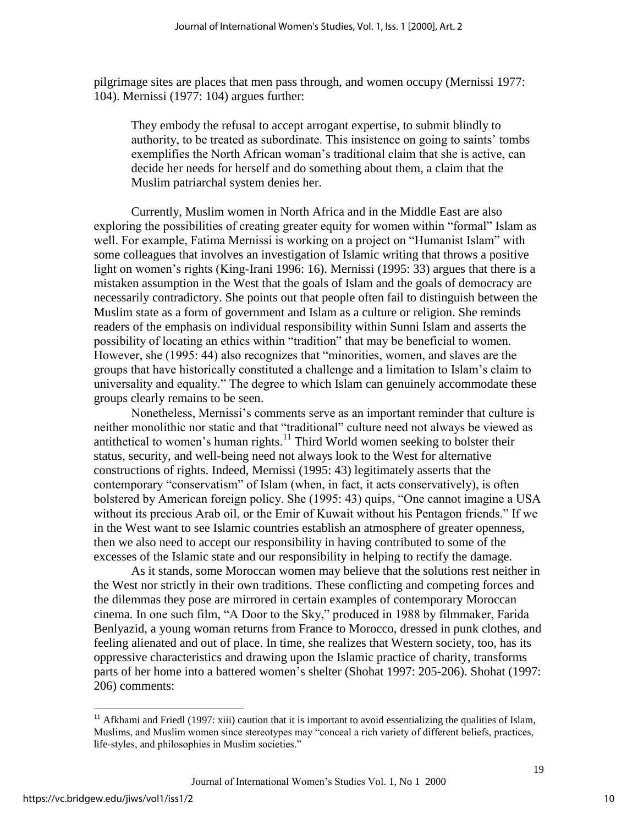pilgrimage sites are places that men pass through, and women occupy (Mernissi 1977: 104). Mernissi (1977: 104) argues further:

They embody the refusal to accept arrogant expertise, to submit blindly to authority, to be treated as subordinate. This insistence on going to saints' tombs exemplifies the North African woman's traditional claim that she is active, can decide her needs for herself and do something about them, a claim that the Muslim patriarchal system denies her.

Currently, Muslim women in North Africa and in the Middle East are also exploring the possibilities of creating greater equity for women within "formal" Islam as well. For example, Fatima Mernissi is working on a project on "Humanist Islam" with some colleagues that involves an investigation of Islamic writing that throws a positive light on women's rights (King-Irani 1996: 16). Mernissi (1995: 33) argues that there is a mistaken assumption in the West that the goals of Islam and the goals of democracy are necessarily contradictory. She points out that people often fail to distinguish between the Muslim state as a form of government and Islam as a culture or religion. She reminds readers of the emphasis on individual responsibility within Sunni Islam and asserts the possibility of locating an ethics within "tradition" that may be beneficial to women. However, she (1995: 44) also recognizes that "minorities, women, and slaves are the groups that have historically constituted a challenge and a limitation to Islam's claim to universality and equality." The degree to which Islam can genuinely accommodate these groups clearly remains to be seen.

Nonetheless, Mernissi's comments serve as an important reminder that culture is neither monolithic nor static and that "traditional" culture need not always be viewed as antithetical to women's human rights.<sup>11</sup> Third World women seeking to bolster their status, security, and well-being need not always look to the West for alternative constructions of rights. Indeed, Mernissi (1995: 43) legitimately asserts that the contemporary "conservatism" of Islam (when, in fact, it acts conservatively), is often bolstered by American foreign policy. She (1995: 43) quips, "One cannot imagine a USA without its precious Arab oil, or the Emir of Kuwait without his Pentagon friends." If we in the West want to see Islamic countries establish an atmosphere of greater openness, then we also need to accept our responsibility in having contributed to some of the excesses of the Islamic state and our responsibility in helping to rectify the damage.

As it stands, some Moroccan women may believe that the solutions rest neither in the West nor strictly in their own traditions. These conflicting and competing forces and the dilemmas they pose are mirrored in certain examples of contemporary Moroccan cinema. In one such film, "A Door to the Sky," produced in 1988 by filmmaker, Farida Benlyazid, a young woman returns from France to Morocco, dressed in punk clothes, and feeling alienated and out of place. In time, she realizes that Western society, too, has its oppressive characteristics and drawing upon the Islamic practice of charity, transforms parts of her home into a battered women's shelter (Shohat 1997: 205-206). Shohat (1997: 206) comments:

 $\overline{a}$ 

 $11$  Afkhami and Friedl (1997: xiii) caution that it is important to avoid essentializing the qualities of Islam, Muslims, and Muslim women since stereotypes may "conceal a rich variety of different beliefs, practices, life-styles, and philosophies in Muslim societies."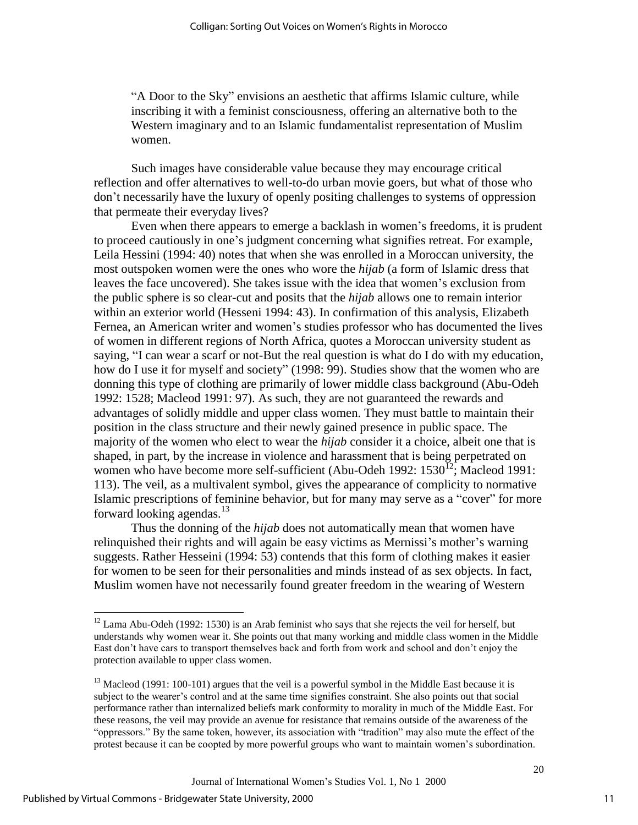"A Door to the Sky" envisions an aesthetic that affirms Islamic culture, while inscribing it with a feminist consciousness, offering an alternative both to the Western imaginary and to an Islamic fundamentalist representation of Muslim women.

Such images have considerable value because they may encourage critical reflection and offer alternatives to well-to-do urban movie goers, but what of those who don't necessarily have the luxury of openly positing challenges to systems of oppression that permeate their everyday lives?

Even when there appears to emerge a backlash in women's freedoms, it is prudent to proceed cautiously in one's judgment concerning what signifies retreat. For example, Leila Hessini (1994: 40) notes that when she was enrolled in a Moroccan university, the most outspoken women were the ones who wore the *hijab* (a form of Islamic dress that leaves the face uncovered). She takes issue with the idea that women's exclusion from the public sphere is so clear-cut and posits that the *hijab* allows one to remain interior within an exterior world (Hesseni 1994: 43). In confirmation of this analysis, Elizabeth Fernea, an American writer and women's studies professor who has documented the lives of women in different regions of North Africa, quotes a Moroccan university student as saying, "I can wear a scarf or not-But the real question is what do I do with my education, how do I use it for myself and society" (1998: 99). Studies show that the women who are donning this type of clothing are primarily of lower middle class background (Abu-Odeh 1992: 1528; Macleod 1991: 97). As such, they are not guaranteed the rewards and advantages of solidly middle and upper class women. They must battle to maintain their position in the class structure and their newly gained presence in public space. The majority of the women who elect to wear the *hijab* consider it a choice, albeit one that is shaped, in part, by the increase in violence and harassment that is being perpetrated on women who have become more self-sufficient (Abu-Odeh 1992:  $1530^{12}$ ; Macleod 1991: 113). The veil, as a multivalent symbol, gives the appearance of complicity to normative Islamic prescriptions of feminine behavior, but for many may serve as a "cover" for more forward looking agendas. $13$ 

Thus the donning of the *hijab* does not automatically mean that women have relinquished their rights and will again be easy victims as Mernissi's mother's warning suggests. Rather Hesseini (1994: 53) contends that this form of clothing makes it easier for women to be seen for their personalities and minds instead of as sex objects. In fact, Muslim women have not necessarily found greater freedom in the wearing of Western

 $12$  Lama Abu-Odeh (1992: 1530) is an Arab feminist who says that she rejects the veil for herself, but understands why women wear it. She points out that many working and middle class women in the Middle East don't have cars to transport themselves back and forth from work and school and don't enjoy the protection available to upper class women.

 $<sup>13</sup>$  Macleod (1991: 100-101) argues that the veil is a powerful symbol in the Middle East because it is</sup> subject to the wearer's control and at the same time signifies constraint. She also points out that social performance rather than internalized beliefs mark conformity to morality in much of the Middle East. For these reasons, the veil may provide an avenue for resistance that remains outside of the awareness of the "oppressors." By the same token, however, its association with "tradition" may also mute the effect of the protest because it can be coopted by more powerful groups who want to maintain women's subordination.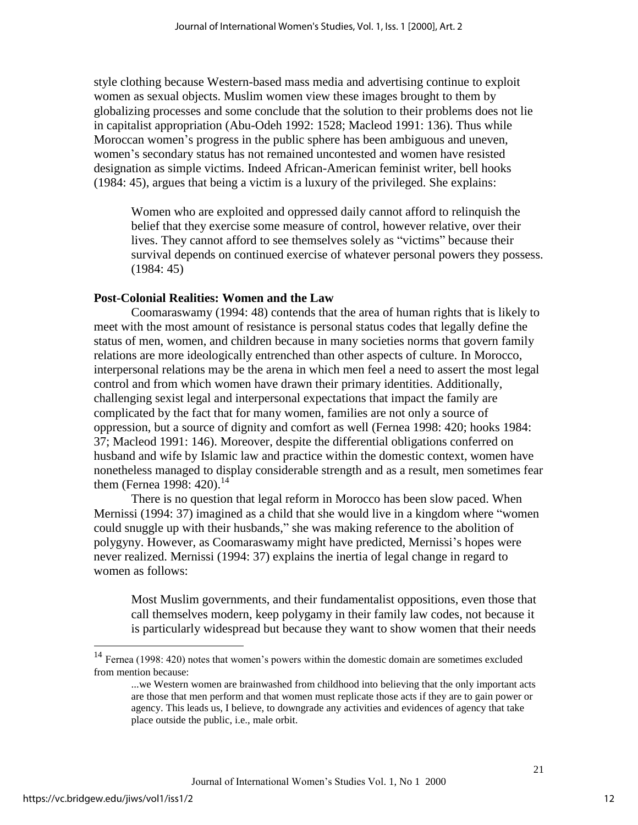style clothing because Western-based mass media and advertising continue to exploit women as sexual objects. Muslim women view these images brought to them by globalizing processes and some conclude that the solution to their problems does not lie in capitalist appropriation (Abu-Odeh 1992: 1528; Macleod 1991: 136). Thus while Moroccan women's progress in the public sphere has been ambiguous and uneven, women's secondary status has not remained uncontested and women have resisted designation as simple victims. Indeed African-American feminist writer, bell hooks (1984: 45), argues that being a victim is a luxury of the privileged. She explains:

Women who are exploited and oppressed daily cannot afford to relinquish the belief that they exercise some measure of control, however relative, over their lives. They cannot afford to see themselves solely as "victims" because their survival depends on continued exercise of whatever personal powers they possess. (1984: 45)

# **Post-Colonial Realities: Women and the Law**

Coomaraswamy (1994: 48) contends that the area of human rights that is likely to meet with the most amount of resistance is personal status codes that legally define the status of men, women, and children because in many societies norms that govern family relations are more ideologically entrenched than other aspects of culture. In Morocco, interpersonal relations may be the arena in which men feel a need to assert the most legal control and from which women have drawn their primary identities. Additionally, challenging sexist legal and interpersonal expectations that impact the family are complicated by the fact that for many women, families are not only a source of oppression, but a source of dignity and comfort as well (Fernea 1998: 420; hooks 1984: 37; Macleod 1991: 146). Moreover, despite the differential obligations conferred on husband and wife by Islamic law and practice within the domestic context, women have nonetheless managed to display considerable strength and as a result, men sometimes fear them (Fernea 1998: 420).<sup>14</sup>

There is no question that legal reform in Morocco has been slow paced. When Mernissi (1994: 37) imagined as a child that she would live in a kingdom where "women could snuggle up with their husbands," she was making reference to the abolition of polygyny. However, as Coomaraswamy might have predicted, Mernissi's hopes were never realized. Mernissi (1994: 37) explains the inertia of legal change in regard to women as follows:

Most Muslim governments, and their fundamentalist oppositions, even those that call themselves modern, keep polygamy in their family law codes, not because it is particularly widespread but because they want to show women that their needs

 $\overline{a}$ 

 $14$  Fernea (1998: 420) notes that women's powers within the domestic domain are sometimes excluded from mention because:

<sup>...</sup>we Western women are brainwashed from childhood into believing that the only important acts are those that men perform and that women must replicate those acts if they are to gain power or agency. This leads us, I believe, to downgrade any activities and evidences of agency that take place outside the public, i.e., male orbit.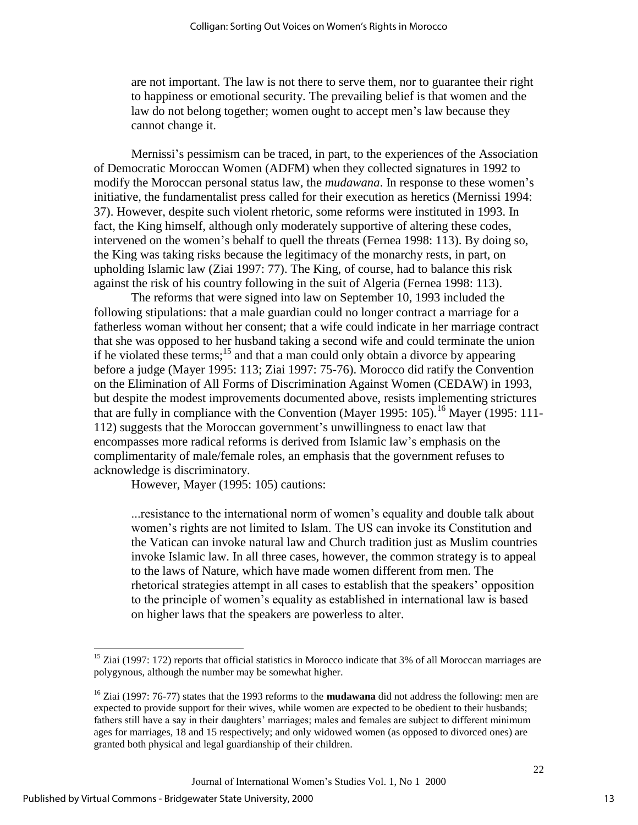are not important. The law is not there to serve them, nor to guarantee their right to happiness or emotional security. The prevailing belief is that women and the law do not belong together; women ought to accept men's law because they cannot change it.

Mernissi's pessimism can be traced, in part, to the experiences of the Association of Democratic Moroccan Women (ADFM) when they collected signatures in 1992 to modify the Moroccan personal status law, the *mudawana*. In response to these women's initiative, the fundamentalist press called for their execution as heretics (Mernissi 1994: 37). However, despite such violent rhetoric, some reforms were instituted in 1993. In fact, the King himself, although only moderately supportive of altering these codes, intervened on the women's behalf to quell the threats (Fernea 1998: 113). By doing so, the King was taking risks because the legitimacy of the monarchy rests, in part, on upholding Islamic law (Ziai 1997: 77). The King, of course, had to balance this risk against the risk of his country following in the suit of Algeria (Fernea 1998: 113).

The reforms that were signed into law on September 10, 1993 included the following stipulations: that a male guardian could no longer contract a marriage for a fatherless woman without her consent; that a wife could indicate in her marriage contract that she was opposed to her husband taking a second wife and could terminate the union if he violated these terms; $^{15}$  and that a man could only obtain a divorce by appearing before a judge (Mayer 1995: 113; Ziai 1997: 75-76). Morocco did ratify the Convention on the Elimination of All Forms of Discrimination Against Women (CEDAW) in 1993, but despite the modest improvements documented above, resists implementing strictures that are fully in compliance with the Convention (Mayer 1995: 105).<sup>16</sup> Mayer (1995: 111-112) suggests that the Moroccan government's unwillingness to enact law that encompasses more radical reforms is derived from Islamic law's emphasis on the complimentarity of male/female roles, an emphasis that the government refuses to acknowledge is discriminatory.

However, Mayer (1995: 105) cautions:

...resistance to the international norm of women's equality and double talk about women's rights are not limited to Islam. The US can invoke its Constitution and the Vatican can invoke natural law and Church tradition just as Muslim countries invoke Islamic law. In all three cases, however, the common strategy is to appeal to the laws of Nature, which have made women different from men. The rhetorical strategies attempt in all cases to establish that the speakers' opposition to the principle of women's equality as established in international law is based on higher laws that the speakers are powerless to alter.

 $\overline{a}$ 

<sup>&</sup>lt;sup>15</sup> Ziai (1997: 172) reports that official statistics in Morocco indicate that 3% of all Moroccan marriages are polygynous, although the number may be somewhat higher.

<sup>16</sup> Ziai (1997: 76-77) states that the 1993 reforms to the **mudawana** did not address the following: men are expected to provide support for their wives, while women are expected to be obedient to their husbands; fathers still have a say in their daughters' marriages; males and females are subject to different minimum ages for marriages, 18 and 15 respectively; and only widowed women (as opposed to divorced ones) are granted both physical and legal guardianship of their children.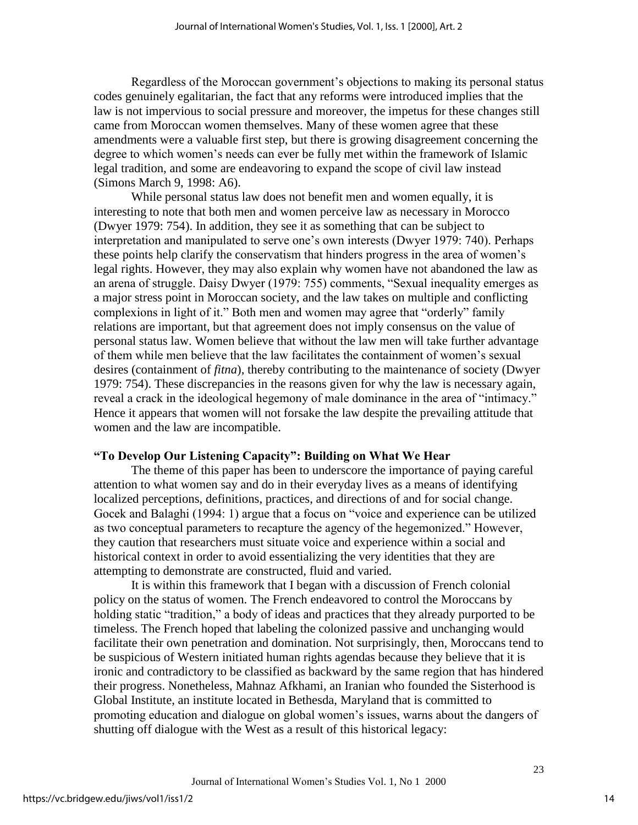Regardless of the Moroccan government's objections to making its personal status codes genuinely egalitarian, the fact that any reforms were introduced implies that the law is not impervious to social pressure and moreover, the impetus for these changes still came from Moroccan women themselves. Many of these women agree that these amendments were a valuable first step, but there is growing disagreement concerning the degree to which women's needs can ever be fully met within the framework of Islamic legal tradition, and some are endeavoring to expand the scope of civil law instead (Simons March 9, 1998: A6).

While personal status law does not benefit men and women equally, it is interesting to note that both men and women perceive law as necessary in Morocco (Dwyer 1979: 754). In addition, they see it as something that can be subject to interpretation and manipulated to serve one's own interests (Dwyer 1979: 740). Perhaps these points help clarify the conservatism that hinders progress in the area of women's legal rights. However, they may also explain why women have not abandoned the law as an arena of struggle. Daisy Dwyer (1979: 755) comments, "Sexual inequality emerges as a major stress point in Moroccan society, and the law takes on multiple and conflicting complexions in light of it." Both men and women may agree that "orderly" family relations are important, but that agreement does not imply consensus on the value of personal status law. Women believe that without the law men will take further advantage of them while men believe that the law facilitates the containment of women's sexual desires (containment of *fitna*), thereby contributing to the maintenance of society (Dwyer 1979: 754). These discrepancies in the reasons given for why the law is necessary again, reveal a crack in the ideological hegemony of male dominance in the area of "intimacy." Hence it appears that women will not forsake the law despite the prevailing attitude that women and the law are incompatible.

#### **"To Develop Our Listening Capacity": Building on What We Hear**

The theme of this paper has been to underscore the importance of paying careful attention to what women say and do in their everyday lives as a means of identifying localized perceptions, definitions, practices, and directions of and for social change. Gocek and Balaghi (1994: 1) argue that a focus on "voice and experience can be utilized as two conceptual parameters to recapture the agency of the hegemonized." However, they caution that researchers must situate voice and experience within a social and historical context in order to avoid essentializing the very identities that they are attempting to demonstrate are constructed, fluid and varied.

It is within this framework that I began with a discussion of French colonial policy on the status of women. The French endeavored to control the Moroccans by holding static "tradition," a body of ideas and practices that they already purported to be timeless. The French hoped that labeling the colonized passive and unchanging would facilitate their own penetration and domination. Not surprisingly, then, Moroccans tend to be suspicious of Western initiated human rights agendas because they believe that it is ironic and contradictory to be classified as backward by the same region that has hindered their progress. Nonetheless, Mahnaz Afkhami, an Iranian who founded the Sisterhood is Global Institute, an institute located in Bethesda, Maryland that is committed to promoting education and dialogue on global women's issues, warns about the dangers of shutting off dialogue with the West as a result of this historical legacy:

14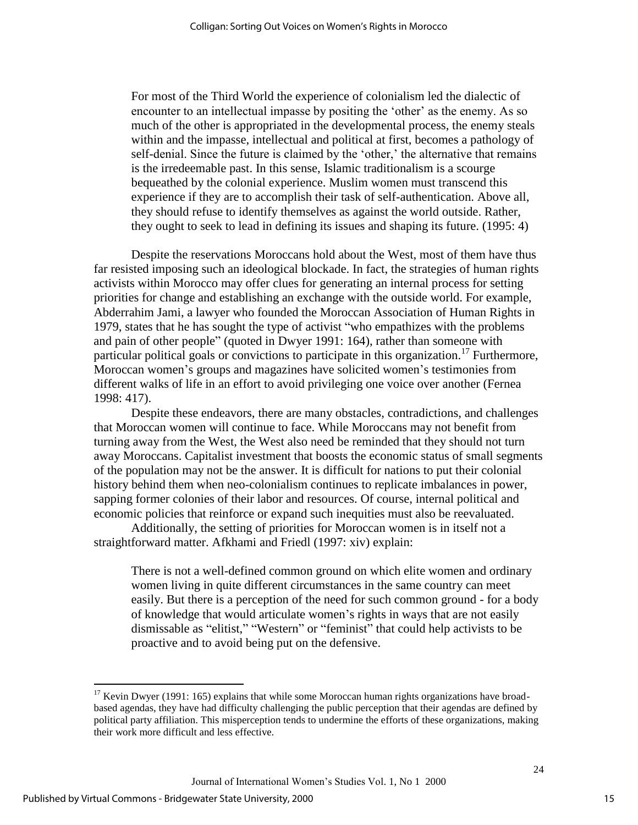For most of the Third World the experience of colonialism led the dialectic of encounter to an intellectual impasse by positing the 'other' as the enemy. As so much of the other is appropriated in the developmental process, the enemy steals within and the impasse, intellectual and political at first, becomes a pathology of self-denial. Since the future is claimed by the 'other,' the alternative that remains is the irredeemable past. In this sense, Islamic traditionalism is a scourge bequeathed by the colonial experience. Muslim women must transcend this experience if they are to accomplish their task of self-authentication. Above all, they should refuse to identify themselves as against the world outside. Rather, they ought to seek to lead in defining its issues and shaping its future. (1995: 4)

Despite the reservations Moroccans hold about the West, most of them have thus far resisted imposing such an ideological blockade. In fact, the strategies of human rights activists within Morocco may offer clues for generating an internal process for setting priorities for change and establishing an exchange with the outside world. For example, Abderrahim Jami, a lawyer who founded the Moroccan Association of Human Rights in 1979, states that he has sought the type of activist "who empathizes with the problems and pain of other people" (quoted in Dwyer 1991: 164), rather than someone with particular political goals or convictions to participate in this organization.<sup>17</sup> Furthermore, Moroccan women's groups and magazines have solicited women's testimonies from different walks of life in an effort to avoid privileging one voice over another (Fernea 1998: 417).

Despite these endeavors, there are many obstacles, contradictions, and challenges that Moroccan women will continue to face. While Moroccans may not benefit from turning away from the West, the West also need be reminded that they should not turn away Moroccans. Capitalist investment that boosts the economic status of small segments of the population may not be the answer. It is difficult for nations to put their colonial history behind them when neo-colonialism continues to replicate imbalances in power, sapping former colonies of their labor and resources. Of course, internal political and economic policies that reinforce or expand such inequities must also be reevaluated.

Additionally, the setting of priorities for Moroccan women is in itself not a straightforward matter. Afkhami and Friedl (1997: xiv) explain:

There is not a well-defined common ground on which elite women and ordinary women living in quite different circumstances in the same country can meet easily. But there is a perception of the need for such common ground - for a body of knowledge that would articulate women's rights in ways that are not easily dismissable as "elitist," "Western" or "feminist" that could help activists to be proactive and to avoid being put on the defensive.

 $17$  Kevin Dwyer (1991: 165) explains that while some Moroccan human rights organizations have broadbased agendas, they have had difficulty challenging the public perception that their agendas are defined by political party affiliation. This misperception tends to undermine the efforts of these organizations, making their work more difficult and less effective.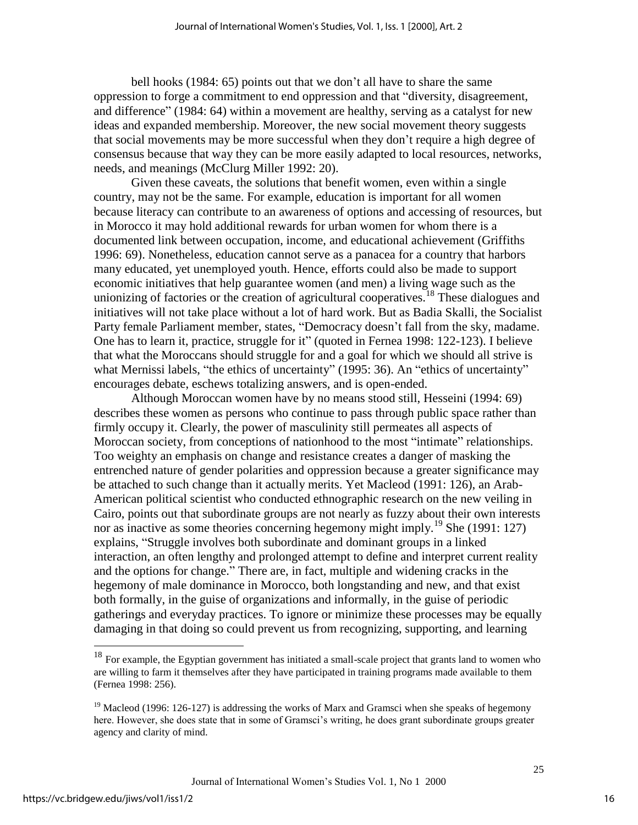bell hooks (1984: 65) points out that we don't all have to share the same oppression to forge a commitment to end oppression and that "diversity, disagreement, and difference" (1984: 64) within a movement are healthy, serving as a catalyst for new ideas and expanded membership. Moreover, the new social movement theory suggests that social movements may be more successful when they don't require a high degree of consensus because that way they can be more easily adapted to local resources, networks, needs, and meanings (McClurg Miller 1992: 20).

Given these caveats, the solutions that benefit women, even within a single country, may not be the same. For example, education is important for all women because literacy can contribute to an awareness of options and accessing of resources, but in Morocco it may hold additional rewards for urban women for whom there is a documented link between occupation, income, and educational achievement (Griffiths 1996: 69). Nonetheless, education cannot serve as a panacea for a country that harbors many educated, yet unemployed youth. Hence, efforts could also be made to support economic initiatives that help guarantee women (and men) a living wage such as the unionizing of factories or the creation of agricultural cooperatives.<sup>18</sup> These dialogues and initiatives will not take place without a lot of hard work. But as Badia Skalli, the Socialist Party female Parliament member, states, "Democracy doesn't fall from the sky, madame. One has to learn it, practice, struggle for it" (quoted in Fernea 1998: 122-123). I believe that what the Moroccans should struggle for and a goal for which we should all strive is what Mernissi labels, "the ethics of uncertainty" (1995: 36). An "ethics of uncertainty" encourages debate, eschews totalizing answers, and is open-ended.

Although Moroccan women have by no means stood still, Hesseini (1994: 69) describes these women as persons who continue to pass through public space rather than firmly occupy it. Clearly, the power of masculinity still permeates all aspects of Moroccan society, from conceptions of nationhood to the most "intimate" relationships. Too weighty an emphasis on change and resistance creates a danger of masking the entrenched nature of gender polarities and oppression because a greater significance may be attached to such change than it actually merits. Yet Macleod (1991: 126), an Arab-American political scientist who conducted ethnographic research on the new veiling in Cairo, points out that subordinate groups are not nearly as fuzzy about their own interests nor as inactive as some theories concerning hegemony might imply.<sup>19</sup> She (1991: 127) explains, "Struggle involves both subordinate and dominant groups in a linked interaction, an often lengthy and prolonged attempt to define and interpret current reality and the options for change." There are, in fact, multiple and widening cracks in the hegemony of male dominance in Morocco, both longstanding and new, and that exist both formally, in the guise of organizations and informally, in the guise of periodic gatherings and everyday practices. To ignore or minimize these processes may be equally damaging in that doing so could prevent us from recognizing, supporting, and learning

 $\overline{a}$ 

 $18$  For example, the Egyptian government has initiated a small-scale project that grants land to women who are willing to farm it themselves after they have participated in training programs made available to them (Fernea 1998: 256).

<sup>&</sup>lt;sup>19</sup> Macleod (1996: 126-127) is addressing the works of Marx and Gramsci when she speaks of hegemony here. However, she does state that in some of Gramsci's writing, he does grant subordinate groups greater agency and clarity of mind.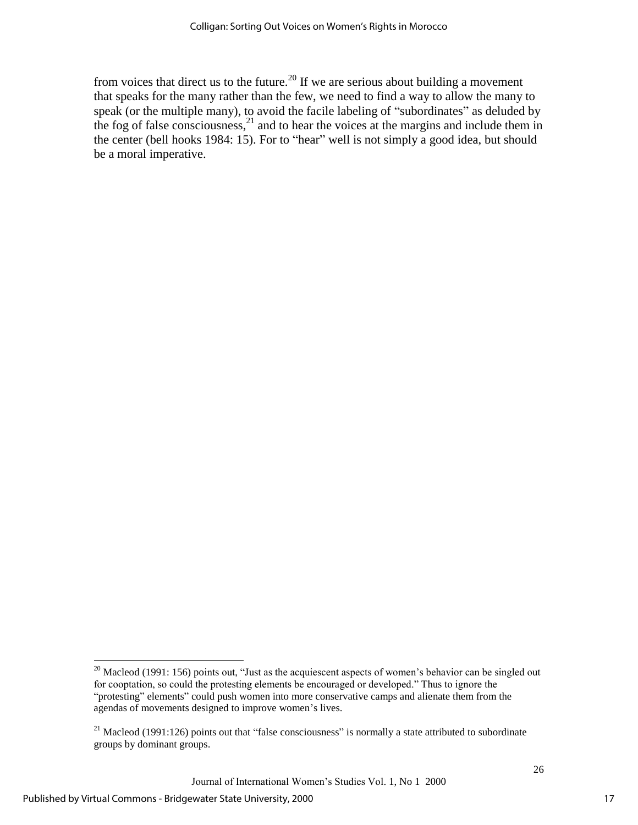from voices that direct us to the future.<sup>20</sup> If we are serious about building a movement that speaks for the many rather than the few, we need to find a way to allow the many to speak (or the multiple many), to avoid the facile labeling of "subordinates" as deluded by the fog of false consciousness,  $2^1$  and to hear the voices at the margins and include them in the center (bell hooks 1984: 15). For to "hear" well is not simply a good idea, but should be a moral imperative.

<sup>&</sup>lt;sup>20</sup> Macleod (1991: 156) points out, "Just as the acquiescent aspects of women's behavior can be singled out for cooptation, so could the protesting elements be encouraged or developed." Thus to ignore the "protesting" elements" could push women into more conservative camps and alienate them from the agendas of movements designed to improve women's lives.

<sup>&</sup>lt;sup>21</sup> Macleod (1991:126) points out that "false consciousness" is normally a state attributed to subordinate groups by dominant groups.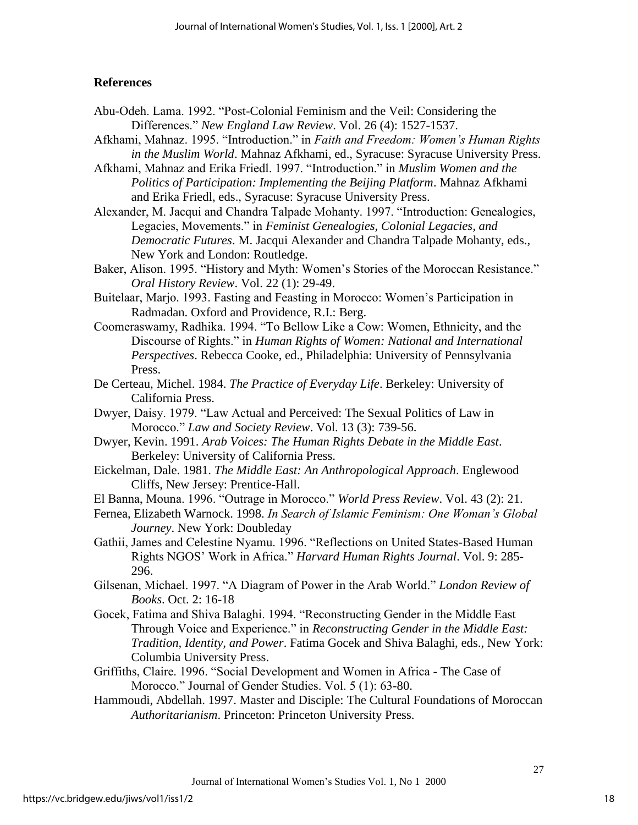# **References**

- Abu-Odeh. Lama. 1992. "Post-Colonial Feminism and the Veil: Considering the Differences." *New England Law Review*. Vol. 26 (4): 1527-1537.
- Afkhami, Mahnaz. 1995. "Introduction." in *Faith and Freedom: Women's Human Rights in the Muslim World*. Mahnaz Afkhami, ed., Syracuse: Syracuse University Press.

Afkhami, Mahnaz and Erika Friedl. 1997. "Introduction." in *Muslim Women and the Politics of Participation: Implementing the Beijing Platform*. Mahnaz Afkhami and Erika Friedl, eds., Syracuse: Syracuse University Press.

Alexander, M. Jacqui and Chandra Talpade Mohanty. 1997. "Introduction: Genealogies, Legacies, Movements." in *Feminist Genealogies, Colonial Legacies, and Democratic Futures*. M. Jacqui Alexander and Chandra Talpade Mohanty, eds., New York and London: Routledge.

Baker, Alison. 1995. "History and Myth: Women's Stories of the Moroccan Resistance." *Oral History Review*. Vol. 22 (1): 29-49.

- Buitelaar, Marjo. 1993. Fasting and Feasting in Morocco: Women's Participation in Radmadan. Oxford and Providence, R.I.: Berg.
- Coomeraswamy, Radhika. 1994. "To Bellow Like a Cow: Women, Ethnicity, and the Discourse of Rights." in *Human Rights of Women: National and International Perspectives*. Rebecca Cooke, ed., Philadelphia: University of Pennsylvania Press.
- De Certeau, Michel. 1984. *The Practice of Everyday Life*. Berkeley: University of California Press.
- Dwyer, Daisy. 1979. "Law Actual and Perceived: The Sexual Politics of Law in Morocco." *Law and Society Review*. Vol. 13 (3): 739-56.
- Dwyer, Kevin. 1991. *Arab Voices: The Human Rights Debate in the Middle East*. Berkeley: University of California Press.
- Eickelman, Dale. 1981. *The Middle East: An Anthropological Approach*. Englewood Cliffs, New Jersey: Prentice-Hall.
- El Banna, Mouna. 1996. "Outrage in Morocco." *World Press Review*. Vol. 43 (2): 21.
- Fernea, Elizabeth Warnock. 1998. *In Search of Islamic Feminism: One Woman's Global Journey*. New York: Doubleday
- Gathii, James and Celestine Nyamu. 1996. "Reflections on United States-Based Human Rights NGOS' Work in Africa." *Harvard Human Rights Journal*. Vol. 9: 285- 296.
- Gilsenan, Michael. 1997. "A Diagram of Power in the Arab World." *London Review of Books*. Oct. 2: 16-18
- Gocek, Fatima and Shiva Balaghi. 1994. "Reconstructing Gender in the Middle East Through Voice and Experience." in *Reconstructing Gender in the Middle East: Tradition, Identity, and Power*. Fatima Gocek and Shiva Balaghi, eds., New York: Columbia University Press.
- Griffiths, Claire. 1996. "Social Development and Women in Africa The Case of Morocco." Journal of Gender Studies. Vol. 5 (1): 63-80.
- Hammoudi, Abdellah. 1997. Master and Disciple: The Cultural Foundations of Moroccan *Authoritarianism*. Princeton: Princeton University Press.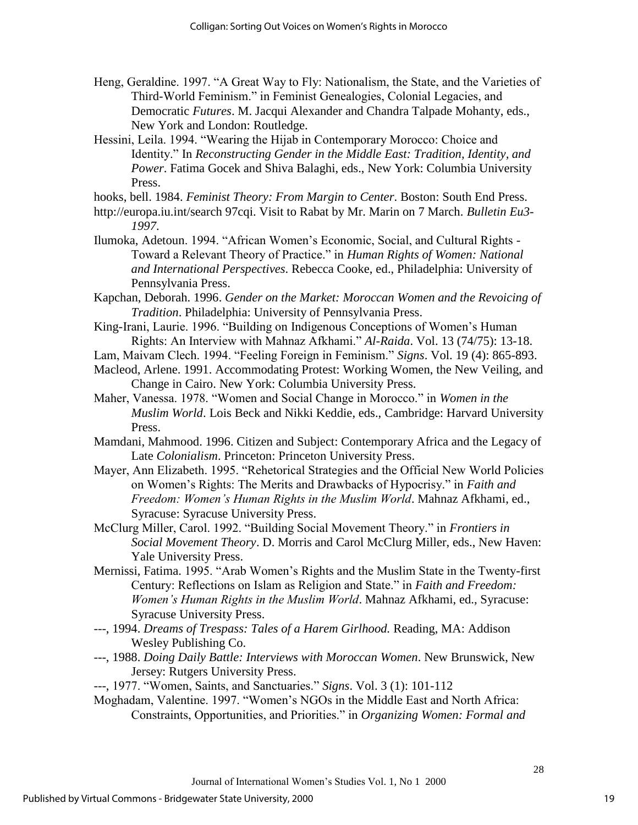- Heng, Geraldine. 1997. "A Great Way to Fly: Nationalism, the State, and the Varieties of Third-World Feminism." in Feminist Genealogies, Colonial Legacies, and Democratic *Futures*. M. Jacqui Alexander and Chandra Talpade Mohanty, eds., New York and London: Routledge.
- Hessini, Leila. 1994. "Wearing the Hijab in Contemporary Morocco: Choice and Identity." In *Reconstructing Gender in the Middle East: Tradition, Identity, and Power*. Fatima Gocek and Shiva Balaghi, eds., New York: Columbia University Press.

hooks, bell. 1984. *Feminist Theory: From Margin to Center*. Boston: South End Press.

- http://europa.iu.int/search 97cqi. Visit to Rabat by Mr. Marin on 7 March. *Bulletin Eu3- 1997*.
- Ilumoka, Adetoun. 1994. "African Women's Economic, Social, and Cultural Rights Toward a Relevant Theory of Practice." in *Human Rights of Women: National and International Perspectives*. Rebecca Cooke, ed., Philadelphia: University of Pennsylvania Press.
- Kapchan, Deborah. 1996. *Gender on the Market: Moroccan Women and the Revoicing of Tradition*. Philadelphia: University of Pennsylvania Press.
- King-Irani, Laurie. 1996. "Building on Indigenous Conceptions of Women's Human Rights: An Interview with Mahnaz Afkhami." *Al-Raida*. Vol. 13 (74/75): 13-18.
- Lam, Maivam Clech. 1994. "Feeling Foreign in Feminism." *Signs*. Vol. 19 (4): 865-893.
- Macleod, Arlene. 1991. Accommodating Protest: Working Women, the New Veiling, and Change in Cairo. New York: Columbia University Press.
- Maher, Vanessa. 1978. "Women and Social Change in Morocco." in *Women in the Muslim World*. Lois Beck and Nikki Keddie, eds., Cambridge: Harvard University Press.
- Mamdani, Mahmood. 1996. Citizen and Subject: Contemporary Africa and the Legacy of Late *Colonialism*. Princeton: Princeton University Press.
- Mayer, Ann Elizabeth. 1995. "Rehetorical Strategies and the Official New World Policies on Women's Rights: The Merits and Drawbacks of Hypocrisy." in *Faith and Freedom: Women's Human Rights in the Muslim World*. Mahnaz Afkhami, ed., Syracuse: Syracuse University Press.
- McClurg Miller, Carol. 1992. "Building Social Movement Theory." in *Frontiers in Social Movement Theory*. D. Morris and Carol McClurg Miller, eds., New Haven: Yale University Press.
- Mernissi, Fatima. 1995. "Arab Women's Rights and the Muslim State in the Twenty-first Century: Reflections on Islam as Religion and State." in *Faith and Freedom: Women's Human Rights in the Muslim World*. Mahnaz Afkhami, ed., Syracuse: Syracuse University Press.
- ---, 1994. *Dreams of Trespass: Tales of a Harem Girlhood.* Reading, MA: Addison Wesley Publishing Co.
- ---, 1988. *Doing Daily Battle: Interviews with Moroccan Women*. New Brunswick, New Jersey: Rutgers University Press.
- ---, 1977. "Women, Saints, and Sanctuaries." *Signs*. Vol. 3 (1): 101-112
- Moghadam, Valentine. 1997. "Women's NGOs in the Middle East and North Africa: Constraints, Opportunities, and Priorities." in *Organizing Women: Formal and*

19